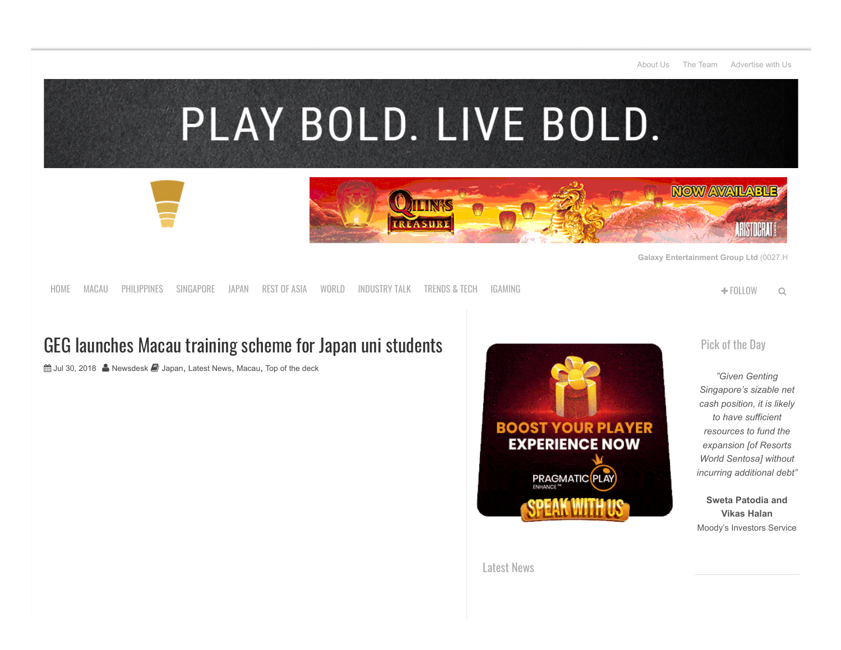

[HOME](http://www.ggrasia.com/) [MACAU](https://www.ggrasia.com/category/latest-news/macau/) [PHILIPPINES](https://www.ggrasia.com/category/latest-news/philippines/) [SINGAPORE](https://www.ggrasia.com/category/latest-news/singapore/) [JAPAN](https://www.ggrasia.com/category/latest-news/japan/) [REST](https://www.ggrasia.com/category/latest-news/rest-of-asia/) OF ASIA [WORLD](https://www.ggrasia.com/category/latest-news/world/) [INDUSTRY](https://www.ggrasia.com/category/latest-news/industry-talk/) TALK [TRENDS](https://www.ggrasia.com/category/latest-news/trends-tech/) & TECH [IGAMING](https://www.ggrasia.com/category/igaming/) FOLLOW

## GEG launches Macau training scheme for Japan uni students

 $\hat{m}$  **Jul 30, 2018 A** [Newsdesk](https://www.ggrasia.com/author/newsdesk/) *J* [Japan](https://www.ggrasia.com/category/latest-news/japan/), [Latest News](https://www.ggrasia.com/category/latest-news/), [Macau](https://www.ggrasia.com/category/latest-news/macau/), [Top of the deck](https://www.ggrasia.com/category/latest-news/top-of-the-deck/)



[Pick](https://www.ggrasia.com/no-debt-needed-to-fund-rws-expansion-moodys/) of the Day

*"Given Genting Singapore's sizable net cash position, it is likely to have sufficient resources to fund the expansion [of Resorts World Sentosa] without incurring additional debt"*

**Sweta Patodia and Vikas Halan** Moody's Investors Service

[Latest](http://www.ggrasia.com/category/latest-news/) News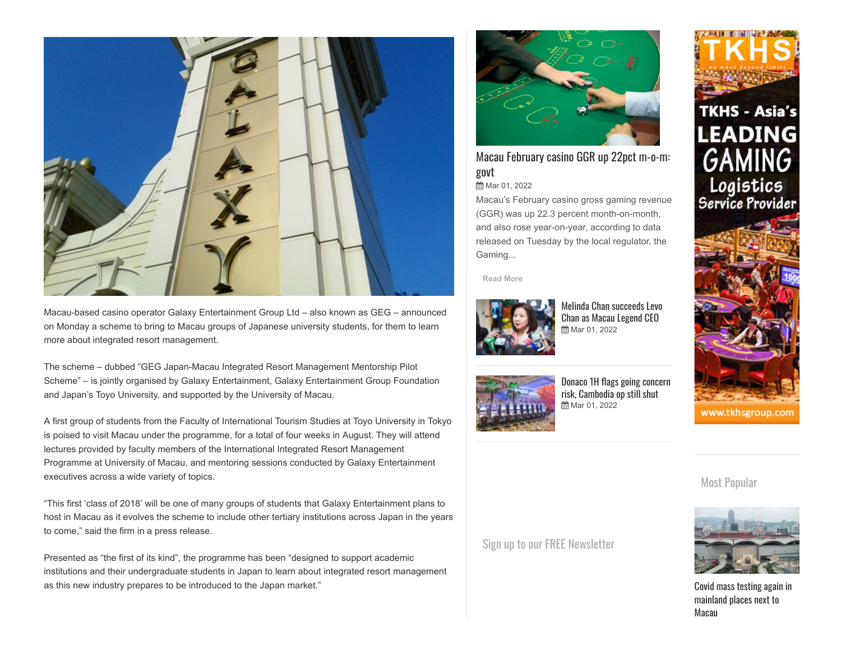

Macau-based casino operator Galaxy Entertainment Group Ltd – also known as GEG – announced on Monday a scheme to bring to Macau groups of Japanese university students, for them to learn more about integrated resort management.

The scheme – dubbed "GEG Japan-Macau Integrated Resort Management Mentorship Pilot Scheme" – is jointly organised by Galaxy Entertainment, Galaxy Entertainment Group Foundation and Japan's Toyo University, and supported by the University of Macau.

A first group of students from the Faculty of International Tourism Studies at Toyo University in Tokyo is poised to visit Macau under the programme, for a total of four weeks in August. They will attend lectures provided by faculty members of the International Integrated Resort Management Programme at University of Macau, and mentoring sessions conducted by Galaxy Entertainment executives across a wide variety of topics.

"This first 'class of 2018' will be one of many groups of students that Galaxy Entertainment plans to host in Macau as it evolves the scheme to include other tertiary institutions across Japan in the years to come," said the firm in a press release.

Presented as "the first of its kind", the programme has been "designed to support academic institutions and their undergraduate students in Japan to learn about integrated resort management as this new industry prepares to be introduced to the Japan market."



## Macau [February casino](https://www.ggrasia.com/macau-february-casino-ggr-up-22pct-m-o-m-govt/) GGR up 22pct m-o-m: govt

## **■Mar 01, 2022**

Macau's February casino gross gaming revenue (GGR) was up 22.3 percent month-on-month, and also rose year-on-year, according to data released on Tuesday by the local regulator, the Gaming...

**[Read More](https://www.ggrasia.com/macau-february-casino-ggr-up-22pct-m-o-m-govt/)**



[M](https://www.ggrasia.com/melinda-chan-succeeds-levo-chan-as-macau-legend-ceo/)elinda Chan [succeeds](https://www.ggrasia.com/melinda-chan-succeeds-levo-chan-as-macau-legend-ceo/) Levo Chan as Macau Legend CEO **曲** Mar 01, 2022



[Donaco 1H](https://www.ggrasia.com/donaco-1h-flags-going-concern-risk-cambodia-op-still-shut/) flags going concern risk, Cambodia op still shut **曲 Mar 01, 2022** 



Most Popular



www.tkhsgroup.com

Covid mass testing again in [mainland](https://www.ggrasia.com/covid-mass-testing-again-in-mainland-places-next-to-macau/) places next to Macau

Sign up to our FREE [Newsletter](http://eepurl.com/UB8V5)